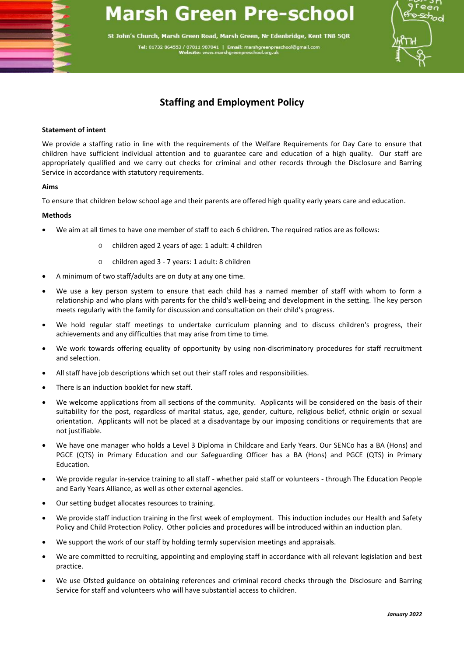# **Marsh Green Pre-school**

St John's Church, Marsh Green Road, Marsh Green, Nr Edenbridge, Kent TN8 5QR Tel: 01732 864553 / 07811 987041 | Email: marshgreenpres<br>Website: www.marshgreenpreschool.org.uk



## **Staffing and Employment Policy**

### **Statement of intent**

We provide a staffing ratio in line with the requirements of the Welfare Requirements for Day Care to ensure that children have sufficient individual attention and to guarantee care and education of a high quality. Our staff are appropriately qualified and we carry out checks for criminal and other records through the Disclosure and Barring Service in accordance with statutory requirements.

#### **Aims**

To ensure that children below school age and their parents are offered high quality early years care and education.

### **Methods**

- We aim at all times to have one member of staff to each 6 children. The required ratios are as follows:
	- o children aged 2 years of age: 1 adult: 4 children
	- o children aged 3 7 years: 1 adult: 8 children
- A minimum of two staff/adults are on duty at any one time.
- We use a key person system to ensure that each child has a named member of staff with whom to form a relationship and who plans with parents for the child's well-being and development in the setting. The key person meets regularly with the family for discussion and consultation on their child's progress.
- We hold regular staff meetings to undertake curriculum planning and to discuss children's progress, their achievements and any difficulties that may arise from time to time.
- We work towards offering equality of opportunity by using non-discriminatory procedures for staff recruitment and selection.
- All staff have job descriptions which set out their staff roles and responsibilities.
- There is an induction booklet for new staff.
- We welcome applications from all sections of the community. Applicants will be considered on the basis of their suitability for the post, regardless of marital status, age, gender, culture, religious belief, ethnic origin or sexual orientation. Applicants will not be placed at a disadvantage by our imposing conditions or requirements that are not justifiable.
- We have one manager who holds a Level 3 Diploma in Childcare and Early Years. Our SENCo has a BA (Hons) and PGCE (QTS) in Primary Education and our Safeguarding Officer has a BA (Hons) and PGCE (QTS) in Primary Education.
- We provide regular in-service training to all staff whether paid staff or volunteers through The Education People and Early Years Alliance, as well as other external agencies.
- Our setting budget allocates resources to training.
- We provide staff induction training in the first week of employment. This induction includes our Health and Safety Policy and Child Protection Policy. Other policies and procedures will be introduced within an induction plan.
- We support the work of our staff by holding termly supervision meetings and appraisals.
- We are committed to recruiting, appointing and employing staff in accordance with all relevant legislation and best practice.
- We use Ofsted guidance on obtaining references and criminal record checks through the Disclosure and Barring Service for staff and volunteers who will have substantial access to children.